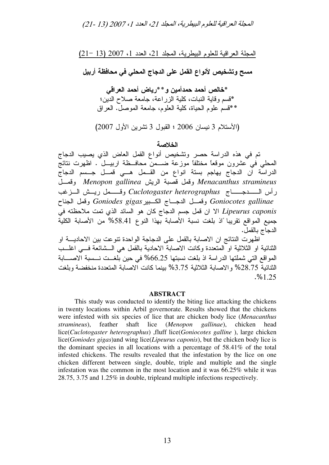# المجلة العراقية للعلوم البيطرية، المجلد 21، العدد 1، 2007 (13 -21)

المجلة العراقية للعلوم البيطرية، المجلد 21، العدد 1، 2007 (13 –21)

مسح وتشخيص لأنواع القمل على الدجاج المحلي في محافظة أربيل

\*خالص أحمد حمدأمين و \* \*رياض أحمد العراقي \*قسم وقاية النبات، كلية الزراعة، جامعة صلاح الدين؛ \*\*قسم علوم الحياة، كلية العلوم، جامعة الموصل. العراق

(الأستلام 3 نيسان 2006 ؛ القبول 3 تشرين الأول 2007)

الخلاصة

تم في هذه الدراسة حصر وتشخيص أنواع القمل العاض الذي يصيب الدجاج المحلي في عشرون موقعًا مختلفًا موزعة ضـــمن محافـــظة اربيـــل . اظهرت نتائج الدراسة ان الدجاج يهاجم بستة انواع من القــمل هــي قمــل جــسم الدجاج \$; *Menopon gallinea* @ 
\$ *Menacanthus stramineus* رأس الــــــــــــــاج Cuclotogaster heterographus وقــــــمل ريـــش الــــزغب \$ *Goniodes gigas* ; 5;- \$; *Goniocotes gallinae* Lipeurus caponis الا ان قمل جسم الدجاج كان هو السائد الذي نمت ملاحظته في جميع المواقع تقريبا ًاذ بلغت نسبة الأصابة بهذا النوع 58.41% من الأصابة الكلية الدجاج بالقمل.

اظهرت النتائج ان الاصابة بالقمل على الدجاجة الواحدة تنوعت بين الاحاديــــة او الثنائية او الثلاثية او المتعددة وكانت الاصابة الاحادية بالقمل هي الـــشائعة فـــي اغلــــب المواقع التي شملتها الدراسة اذ بلغت نسبتها 66.25% في حين بلغـــت نـــسبة الاصــــابة الثنائية 28.75% والاصابة الثلاثية 3.75% بينما كانت الاصابة المتعددة منخفضة وبلغت .%1.25

#### **ABSTRACT**

This study was conducted to identify the biting lice attacking the chickens in twenty locations within Arbil governorate. Results showed that the chickens were infested with six species of lice that are chicken body lice (*Menacanthus stramineus*), feather shaft lice (*Menopon gallinae*), chicken head lice(*Cuclotogaster heterographus*) ,fluff lice(*Goniocotes galline* ), large chicken lice(*Goniodes gigas*)and wing lice(*Lipeurus caponis*), but the chicken body lice is the dominant species in all locations with a percentage of 58.41% of the total infested chickens. The results revealed that the infestation by the lice on one chicken different between single, double, triple and multiple and the single infestation was the common in the most location and it was 66.25% while it was 28.75, 3.75 and 1.25% in double, tripleand multiple infections respectively.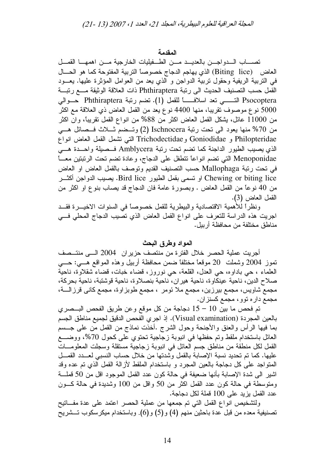### المقدمة

تصساب السدواجس بالعديد مسن الطفيليات الخارجية مسن اهمها القصل العاض (Biting lice) الذي يهاجم الدجاج خصوصاً التربية المفتوحة كما هو الحسال في التربية الريفية وحقول نربية الدواجن و الذي يعد من العوامل المؤثرة عليها. يعـــود القمل حسب التصنيف الحديث الى رتبة Phthiraptera ذات العلاقة الوثيقة مسع رتبة Psocoptera التـــــي تعد اسلافـــــــا للقمل (1). تضم رنبة Phthiraptera حــوالى 5000 نوع موصوف تقريبا، منها 4400 نوع يعد من القمل العاض ذي العلاقة مع اكثر من 11000 عائل، يشكل القمل العاض اكثر من 88% من انواع القمل نقريبًا، وان اكثر من 70% منها بعود الى نحت رتبة Ischnocera (2) وتسضع شــلاث فــصائل هـــي Philopteridae و Goniodidae و Trichodectidae التي نشمل القمل العاض انواع الذي يصيب الطيور الداجنة كما نضم نحت رنبة Amblycera فـصيلة واحـدة هــى Menoponidae التي نضم انواعاً نتطفل على الدجاج، وعادة نضم نحت الرنبتين معـــاً في نحت رتبة Mallophaga حسب التصنيف القديم وتوصف بالقمل العاض او العاض Chewing or biting lice او نسمي بقمل الطيور Bird lice. بصبيب الدواجن أكثـــر من 40 نوعًا من القمل العاض . وبصورة عامة فان الدجاج قد يصاب بنوع او اكثر من القمل العاض (3).

ونظراً للأهمية الاقتصادية والبيطرية للقمل خصوصاً في السنوات الاخيـــرة فقـــد اجريت هذه الدراسة للتعرف على انواع القمل العاض الذي تصيب الدجاج المحلي فسي مناطق مختلفة من محافظة أربيل.

## المواد وطرق البحث

أجريت عملية الحصر خلال الفتر ة من منتصف حزير ان 2004 الـــى منتــصف نموز 2004 وشملت 20 موقعًا مختلفًا ضمن محافظة أربيل وهذه المواقع هـــي: حــــي العلماء ، حي باداوه، حي العدل، القلعة، حي نوروز، قضاء خبات، قضاء شقلاوة، ناحية صلاح الدين، ناحية عينكاوة، ناحية هيران، ناحية بنصلاوة، ناحية قوشتبة، ناحية بحركة، مجمع شاويس، مجمع بيرزين، مجمع ملا ئومر ، مجمع طوبز اوة، مجمع كانبي قرزالــــة، مجمع داره نوو، مجمع كسنزان.

تم فحص ما بين 10 – 15 دجاجة من كل موقع وعن طريق الفحص البــصري بالعين المجردة (Visual examination). إذ اجري الفحص الدقيق لجميع مناطق الجسم بما فيها الرأس والعنق والأجنحة وحول الشرج .أخذت نماذج من القمل من علمي جـــسم العائل باستخدام ملقط وتم حفظها في انبوبة زجاجية تحتوي على كحول 70%، ووضــــع القمل لكل منطقة من مناطق جسم العائل في انبوبة زجاجية مستقلة وسجلت المعلومسات عليها. كما تم تحديد نسبة الإصابة بالقمل وشدتها من خلال حساب النسبي لعـــدد القمـــل المنواجد على كل دجاجة بالعين المجرد و باستخدام الملقط لأزالة القمل الذي تم عده وقد اشير الى شدة الإصابة بأنها ضعيفة في حالة كون عدد القمل الموجود اقل من 50 قملـــة ومتوسطة في حالة كون عدد القمل اكثر من 50 واقل من 100 وشديدة في حالة كـــون عدد القمل بز بد على 100 قملة لكل دجاجة.

ولتشخيص انواع القمل التي تم جمعها من عملية الحصر اعتمد على عدة مفـــاتيح تصنيفية معده من قبل عدة باحثين منهم (4) و(5) و(6). وباستخدام ميكرسكوب تـــشريح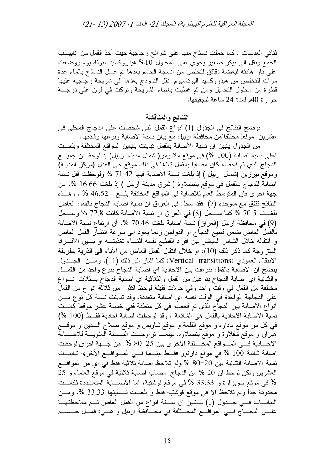المجلة العراقية للعلوم البيطرية، المجلد 21، العدد 1، 2007 (13 -21)

ثنائي العدسات . كما حملت نماذج منها على شرائح زجاجية حيث أخذ القمل من انابيــب الجمع ونقل الى بيكر صغير يحوى على المحلول 10% هيدروكسيد البوتاسيوم ووضعت على نار هادئه لبعضة دقائق لتخلص من انسجة الجسم بعدها تم غسل النماذج بالماء عدة مرات للتخلص من هيدروكسيد البوناسيوم. نقل النموذج بعدها الى شريحة زجاجية عليها قطرة من محلول النحميل ومن ثم غطيت بغطاء الشريَّحة ونركت في فرن على درجـــة حر ار ة 40م لمدة 24 ساعة لتجفيفها.

النتائج والمناقشة

نوضح النتائج في الجدول (1) انواع القمل التي شخصت على الدجاج المحلي في عشرين ًموقعًا مختلفًا من محافظة اربيل مع بيان نسبة الاصابة ونوعها وشدتها.

من الجدول يتبين ان نسبة الأصابة بالقمل تباينت بتباين المواقع المختلفة وبلغــت اعلى نسبة اصابة (100 %) في موقع ملائومر( شمال مدينة اربيل) إذ لوحظ ان جميـــع الدجاج الذي تم فحصه كان مصاباً بالقمل تلاها في ذلك موقع حي العدل (مركز المدينة) وموقع بيرزين (شمال اربيل ) إذ بلغت نسبة الاصابة فيها 71.42 % ولوحظت اقل نسبة اصابة للدجاج بالقمل في موقع بنصلاوة (شرق مدينة اربيل ) إذ بلغت 16.66 %، من جهة اخرى فان المنوسط العام للاصابة في المواقع المختلفة بلــغ 46.52 % . وهــذه النتائج تتفق مع ماوجده (7) فقد سجل في العراق ان نسبة اصابة الدجاج بالقمل العاض بلغت 70.5 % كما سـجل (8) في العراق ان نسبة الاصابة كانت 72.8 % وسـجل (9) في محافظة اربيل (العراق) نسبة اصابة بلغت 70.46 %. أن ارتفاع نسبة الاصابة بالقمل العاض ضمن قطيع الدجاج او الدواجن ربما يعود الى سرعة انتشار القمل العاض و انتقاله خلال التماس المباشر بين افراد القطيع نفسه اثنــاء تغذيتـــه او بـــين الافـــراد المتز اوجة كما ذكر ذلك (10)، او خلال انتقال القمل العاض من الأباء الى الذرية بطريقة الانتقال العمودي (Vertical transitions) كما اشار الى ذلك (11). ومسن الجسدول يتضح ان الاصابة بالقمل نتوعت بين الاحادية اى اصابة الدجاج بنوع واحد من القمــل والثنَّانَية اي اصابة الدجاج بنوعين من القمل والثلاثية اي اصابةٌ الدجاَّج بـــثلاث انـــواع مختلفة من القمل في وقتٌ واحد وفي حالات قليلة لوحظ اكثر ٍ من ثلاثة انواع من القملُ على الدجاجة الواحدة في الوقت نفسه اي اصابة متعددة. وقد تباينت نسبة كل نوع مـــن انواع الاصابة بين الدجاج الذي تم فحصه في كل منطقة ففي خمسة عشر موقعًا كانــت نسبة الاصابة الاحادية بالقمل هي الشائعة ، وقد لوحظت اصابة احادية فقط (100 %) في كل من موقع باداوه و موقع القلعة و موقع شاويس و موقع صلاح الـــدين و موقـــع هيران و موقع شقلاوة و موقع بنصلاوه، بينمـــا نراوحـــت النـــسبة المئويـــة للاصــــابة الاحسادية في المواقع المختلفة الاخرى بين 25–80 %. من جــهة اخرى لوحظت اصابة ثنائية 100 % في موقع دارنوو فقــط بينــما فـــي المـــواقـــع الأخرى تباينـــت نسبة الاصابة الثنائية بين 20–80 % ولم تلاحظ اصابة ثلاثية فقط في اي من المواقع العشرين ولكن لوحظ ان 20 % من الدجاج مصاب اصابة ثلاثية في موقع العلماء و 25 % في موقع طوبزاوة و 33.33 % في موقع قوشتبة، اما الاصـــابة المتعــددة فكانــت محدودة جدًا ولم تلاحظ الا في موقع قوشتبة فقط و بلغــت نـــسبتها 33.33 %. ومـــن البيانـــات فـــى جــدول (1) يـــتبين ان ســـتة انواع من القمل العاض تـــم ملاحظتهــا علـــي الدجــــاج فــــي المواقــــع المخــــنلفة في محــــافظة اربيل و هـــي: قمـــل جـــســـم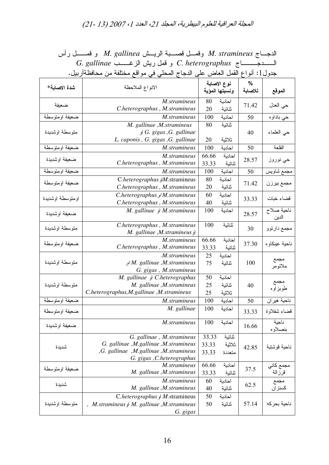المجلة العراقية للعلوم البيطرية، المجلد 21، العدد 1، 2007 (13-21)

الدجــاج M. stramineus وقمـــل قصــــبة الريـــش M. gallinea و قمــــــل رأس G. gallinae و قمل ريش الزغــــب C. heterographus و قمل ريش الزغــــب جدول1: أنواع القمل العاض على الدجاج المحلي في مواقع مختلفة من محافظةأربيل.

| شدة الاصابة*     | الانواع الملاحظة                              | نوع الاصابة<br>ونسبتها المؤية      | $\%$<br>للاصابة | الموقع                       |
|------------------|-----------------------------------------------|------------------------------------|-----------------|------------------------------|
| ضعيفة            | M.stramineus<br>C.heterographus, M.stramineus | 80<br>احادية<br>20<br>ثنائية       | 71.42           | حي العدل                     |
| ضعيفة اومتوسطة   | M.stramineus                                  | 100<br>احادية                      | 50              | حي باداو ه                   |
| متوسطة اوشديدة   | M. gallinae , M. stramineus                   | 80<br>ثنائية                       |                 |                              |
|                  | $G.$ gigas , G. gallinae                      |                                    | 40              | حي العلماء                   |
|                  | L. caponis , G. gigas , G. gallinae           | 20<br>ثلاثية                       |                 |                              |
| ضعيفة اومتوسطة   | M.stramineus                                  | 100<br>احادية                      | 50              | القلعة                       |
| ضعيفة اوشديدة    | M.stramineus                                  | 66.66<br>احادية                    | 28.57           | حي نوروز                     |
|                  | C.heterographus, M.stramineus                 | 33.33<br>ثنائية                    |                 |                              |
| ضعيفة اومتوسطة   | M.stramineus                                  | 100<br>احادية                      | 50              | مجمع شاويس                   |
| ضعيفة اومتوسطة   | C.heterographus JM.stramineus                 | 80<br>احادية                       | 71.42           | مجمع بيرزن                   |
|                  | C.heterographus, M.stramineus                 | 20<br>ثنائية                       |                 |                              |
| اومتوسطة اوشديدة | C.heterographus $M$ .stramineus               | 60<br>احادية                       | 33.33           | قضاء خبات                    |
|                  | C.heterographus, M.stramineus                 | 40<br>ثنائية                       |                 |                              |
| ضعيفة اوشديدة    | $M.$ gallinae $\downarrow$ M.stramineus       | 100<br>احادية                      | 28.57           | ناحية صلاح<br>الدين          |
| متوسطة اوشديدة   | C.heterographus, M.stramineus                 | 100<br>ثنائية                      | 30              | مجمع دارتوو                  |
|                  | M. gallinae ,M.stramineus )                   |                                    |                 |                              |
| ضعيفة اومتوسطة   | M.stramineus<br>C.heterographus, M.stramineus | 66.66<br>احادية<br>33.33<br>ثنائبة | 37.30           | ناحية عينكاوه                |
| متوسطة اوشديدة   | .M.stramineus                                 | 25<br>احادية                       | 100             |                              |
|                  | M. gallinae ,M.stramineus                     | 75<br>شائية                        |                 | مجمع<br>ملائومر              |
|                  | G. gigas, M.stramineus                        |                                    |                 |                              |
| متوسطة اوشديدة   | M. gallinae و M. gallinae                     | 50<br>احادية                       |                 | مجمع                         |
|                  | M. gallinae ,M.stramineus                     | 25<br>ثنائية                       | 40              | طوبز او ه                    |
|                  | C.heterographus, M.gallinae, M.stramineus     | 25<br>ثلاثية                       |                 |                              |
| ضعيفة اومتوسطة   | M.stramineus                                  | 100<br>احادية                      | 50              | ناحية هيران                  |
| ضعيفة اومتوسطة   | M. gallinae                                   | 100<br>احادية                      | 33.33           | قضاء شقلاوة                  |
| ضعيفة اوشديدة    | M.stramineus                                  | 100<br>احادبة                      | 16.66           | تاحية<br>بنصلاوه             |
| شديدة            | G. gallinae, M.stramineus                     | 33.33<br>ثنائية                    |                 |                              |
|                  | G. gallinae ,M.gallinae ,M.stramineus         | ثلاثية<br>33.33                    | 42.85           | ناحية قوشتبة                 |
|                  | ,G. gallinae ,M.gallinae ,M.stramineus        | 33.33<br>متعددة                    |                 |                              |
|                  | G. gigas , C.heterographus                    |                                    |                 |                              |
| ضعيفة اومتوسطة   | M.stramineus<br>M. gallinae ,M.stramineus     | 66.66<br>احادية<br>33.33<br>ثنائية | 37.5            | مجمع كان <i>ي</i><br>قرز الة |
| شديدة            | M.stramineus                                  | 60<br>احادية                       | 62.5            | مجمع<br>کسنز ان              |
|                  | M. gallinae ,M.stramineus                     | 40<br>ثنائية                       |                 |                              |
| متوسطة اوشديدة   | C.heterographus او C.heterographus            | 50<br>احادية                       |                 |                              |
|                  | M.stramineus وM. gallinae ,M.stramineus       | ثنائية<br>50                       | 57.14           | ناحية بحركه                  |
|                  | G. gigas                                      |                                    |                 |                              |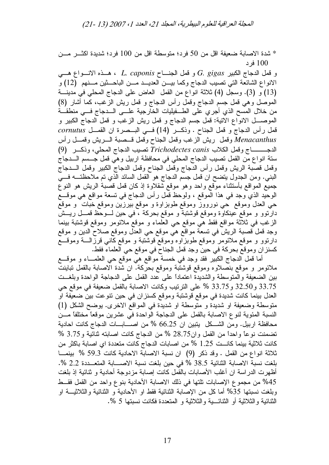\* شدة الاصابة ضعيفة اقل من 50 فرد؛ متوسطة اقل من 100 فرد؛ شديدة اكثـــر مـــن 100 فر د

و قمل الدجاج الكبير G. gigas و قمل الجنـــاح L. caponis ، هـــذه الانـــواع هـــي الانواع الشائعة التي تصيب الدجاج وكما بيـــن العديـــد مـــن الباحـــثين مـــنهم (12) و (13) و (3). وسجل (4) ثلاثة انواع من القمل العاض على الدجاج المحلي في مدينة الموصل وهي قمل جسم الدجاج وقمل رأس الدجاج و قمل ريش الزغب، كما أشار (8) من خلال المسح الذي أجري على الطــفيليات الخارجية علـــى الـــدجاج فـــى منطقـــة الموصـــل الانواع الانية: قمل جسم الدجاج و قمل ريش الزغب و قمل الدجاج الكبير و قمل رأس الدجاج و قمل الجناح . وذكـــر (14) فـــى البـــصرة ان القصــل cornutus Menacanthus وقمل ريش الزغب وقمل الجناح وقمل قسصبة السريش وقمسل رأس الدجــــــــــــاج وقمل الكلاب Trichodectes canis تصبب الدجاج المحلي، وذكـــر (9) ستة انواع من القمل تصيب الدجاج المحلي في محافظة اربيل وهي قمل جــسم الـــدجاج وقمل قصَّبة الريش وقمل رأس الدجاج وقمل الجناح وقمل الدجاج الكبير وقمل السدجاج البني. ومن الجدول يتضح ان قمل جسم الدجاج هو القمل السائد الذي تم ملاحظتـــه فـــي جميع المواقع بأستثناء موَّقع واحد وهو موقع شقلاوة إذ كان قمل قصبةً الريش هو النوع الوحيد الذي وجد في هذا الموقع ، ولوحظ قمل رأس الدجاج في نسعة مواقع هي موقـــع حي العدل وموقع حي نورووز وموقع طوبزاوة و موقع بيرزين وموقع خبات و موقع دارِنوو و موقع عينكاوة وموقع قوشتبة و موقع بحركة ، في حين لـــوحظ قمـــل ريـــش الزغب في ثلاثة مواقع فقط هي موقع حي العلماء و موقع ملائومر وموقع قوشتبة بينما وجد قمل قصبة الريش في نسعة مواقع هي موقع حي العدل وموقع صلاح الدين و موقع دارنوو و موقع ملائومر وموقع طوبزاوه وموقع قوشتبة و موقع كاني قرزالــــة وموقــــع كسنزان وموقع بحركة في حين وجد قمل الجناح في موقع حي العلماء فقط.

أما قمل الدجاج الكبير فقد وجد في خمسة مواقع هي موقع حي العلمــــاء و موقــــع ملائومر و موقع بنصلاوه وموقع قوشتبة وموقع بحركة. ان شدة الاصابة بالقمل تباينت بين الضعيفة والمنوسطة والشديدة اعتماداً على عدد القمل على الدجاجة الواحدة وبلغــت 33.75 و32.50 و33.75 % على النرنيب وكانت الاصابة بالقمل ضعيفة في موقع حي العدل بينما كانت شديدة في موقع قوشتبة وموقع كسنزان في حين نتوعت بين ضعيفة او متوسطة وضعيفة او شديدة و متوسطة او شديدة في المواقع الاخرى. يوضح الشكل (1) النسبة المئوية لنوع الاصابة بالقمل على الدجاجة الواحدة في عشرين موقعًا مختلفًا مـــن محافظة اربيل. ومن الشكل يتبين ان 66.25 % من اصـــابـــات الدجاج كانت احادية نضمنت نوعًا واحدًا من القمل وان28.75 % من الدجاج كانت اصابته ثنائية و3.75 % كانت ثلاثية بينما كانــت 1.25 % من اصـابات الدجاج كانت متعددة اى اصـابة باكثر من ثلاثة انواع من القمل . وقد ذكر (9) ان نسبة الاصابة الاحادية كانت 59.3 % بينمــا بلغت نسبة الاصابة الثنائية 38.5 % في حين بلغت نسبة الاصـــابة المتعــددة 2.2 %. أظهر ت الدر اسة ان أغلب الأصبابات بالقمل كانت إصبابة مز دوجة أحادية و ثنائية إذ بلغت 45% من مجموع الإصابات نلتها في ذلك الاصابة الأحادية بنوع واحد من القمل فقــط وبلغت نسبتها 35% أما كل من الإصابة الثنائية فقط او الأحادية و الثنائية والثلاثيـــة او الثنائبة و الثلاثبة أو الثنائـــبة و الثلاثبة و المتعددة فكانت نسبتها 5 %.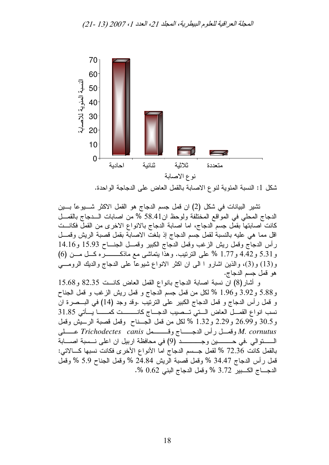

شكل 1: النسبة المئوية لنوع الاصابة بالقمل العاض على الدجاجة الواحدة.

تشير البيانات في شكل (2) ان قمل جسم الدجاج هو القمل الاكثر شـــــيوعاً بــــين الدجاج المحلي في المواقع المختلفة ولوحظ ان58.41 % من اصابات الـدجاج بالقصل كانت اصابتها بقمل جسم الدجاج، اما اصابة الدجاج بالانواع الاخرى من القمل فكانــت اقل مما هي عليه بالنسبة لقمل جسم الدجاج إذ بلغت الاصابة بقمل قصبة الريش وقمـل رأس الدجاج وقمل ريش الزغب وقمل الدجاج الكبير وقمـــل الجنــــاح 15.93 و14.16 و 5.31 و 4.42 و 1.77 % على النرتيب. وهذا يتماشى مع ماذكــــــــــره كـــل مــــن (6) و (13) و(3)، والذين اشارو ا الى ان اكثر الانواع شيوعًا على الدجاج والديك الرومـــي هو قمل جسم الدجاج.

و أشار (8) ان نسبة اصابة الدجاج بانواع القمل العاض كانــت 82.35 و15.68 و 5.88 و 3.92 و 1.96 % لكل من قمل جسم الدجاج و قمل ريش الزغب و قمل الجناح و قمل رأس الدجاج و قمل الدجاج الكبير على النرنيب .وقد وجد (14) في البـــصرة ان نسب انواع القمـــل الحاض الــــتي تـــصيب الدجـــاج كانـــــــــت كمــــــــا يــــأتي 31.85 و30.5 و26.99 و2.29 و1.32 % لكل من قمل الجسناح وقمل قصبة الرسيش وقمل M. cornutus وقصــل رأس الدجـــــــاج وقــــــــمل Trichodectes canis عـــــلبي بالقمل كانت 72.36 % لقمل جسم الدجاج اما الأنواع الأخرى فكانت نسبها كـــالاتى: قمل رأس الدجاج 34.47 % وقمل قصبة الريش 24.84 % وقمل الجناح 5.9 % وقمل الدجـــاج الكـــبير 3.72 % وفَّمل الدجاج البني 0.62 %.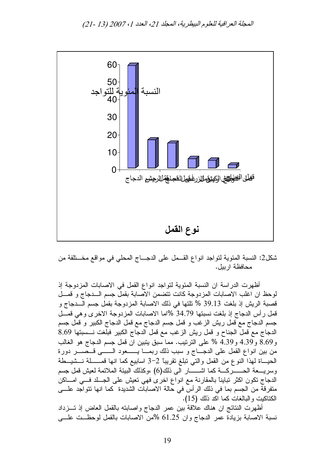

شكل2: النسبة المئوية لتواجد انواع القــمل على الدجـــاج المحلي في مواقع مخـــنلفة من محافظة ار بيل.

أظهرت الدراسة ان النسبة المئوية لتواجد انواع القمل في الاصابات المزدوجة إذ لوحظ ان اغلب الاصابات المزدوجة كانت نتضمن الأصابة بقمل جسم السدجاج و قمسل قصبة الريش إذ بلغت 39.13 % تلتها في ذلك الاصابة المزدوجة بقمل جسم الـــدجاج و قمل رأس الدجاج إذ بلغت نسبتها 34.79 %اما الاصبابات المزدوجة الاخرى وهي قمــل جسم الدجاج مع قمل ريش الزغب و قمل جسم الدجاج مع قمل الدجاج الكبير و قمل جسم الدجاج مع قمل الجناح و قمل ريش الزغب مع قمل الدجاج الكبير فبلغت نــسبتها 8.69 و 8.69 و 4.39 و 4.39 % على الترتيب. مما سبق يتبين ان قمل جسم الدجاج هو الغالب من بين انواع القمل على الدجـــاج و سبب ذلك ربمـــا يــــــعود الـــــــى قـــصــــــر دورة الحيـــاة لمهذا النوع من القمل والتي نبلغ نقريباً 2–3 اسابيع كما انـها فمــــــلـة نـــشيـــطـة وسريــــعة الـحــــــــــركـــــة كما اشــــــــــار الـي ذلك(6) ،وكذلك الببيئة الملائمة لعيش قمل جسم الدجاج نكون اكثر نبايناً بالمقارنة مع انواع اخرى فهي نعيش على الجلد فــي امـــاكن منفرِقة من الجسم بما في ذلك الرأس في حالة الاصابات الشديدة كما انها نتواجد علـــي الكتاكيت والبالغات كما اكد ذلك (15).

أظهرت النتائج ان هناك علاقة بين عمر الدجاج واصابته بالقمل العاض إذ تـــزداد نسبة الاصابة بزيادة عمر الدجاج وان 61.25 %من الاصابات بالقمل لوحظــت علـــي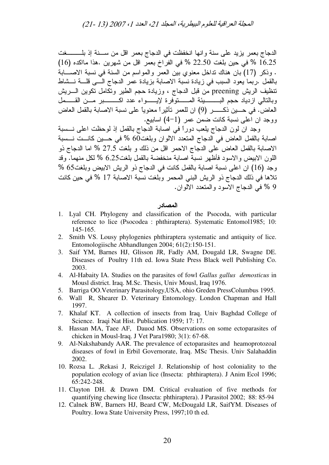المجلة العر اقية للعلوم البيطرية، المجلد 21، العدد 1، 2007 (13 -21)

الدجاج بعمر يزيد على سنة وإنها انخفظت في الدجاج بعمر إقل من ســـنة إذ بلــــــــغت 16.25 % في حين بلغت 22.50 % في الفراخ بعمر اقل من شهرين .هذا مااكده (16) . وذكر (17) بان هناك نداخل معنوي بين العمر والمواسم من السنة في نسبة الاصـــابة بالقمل .ربما يعود السبب في زيادة نسبة الاصابة بزيادة عمر الدجاج الـــي قلـــة نـــشاط نتظيف الريش preening من قبل الدجاج ، وزيادة حجم الطير ونكامل نكوين السريش وبالتالي از دياد حجم البــــــــــــيئة المــــــــتوفر ة لإيــــــــو اء عدد اكـــــــــــير مــــن القـــــمل العاض. في حـــين ذكـــــر (9) ان للعمر تأثير أ معنوياً على نسبة الاصابة بالقمل العاض ووجد ان آعلي نسبة كانت ضمن عمر (1–4) اسابيع.

وجد ان لون الدجاج يلعب دوراً في اصابة الدجاج بالقمل إذ لوحظت اعلى نــــسبة اصابة بالقمل العاض في الدجاج المتعدد الالوان وبلغت60 % في حــين كانــت نــسبة الاصابة بالقمل العاض على الدجاج الاحمر اقل من ذلك و بلغت 27.5 % اما الدجاج ذو اللون الابيض والاسود فأظهر نسبة اصبابة منخفضة بالقمل بلغت6.25 % لكل منهما. وقد وجد (16) ان اعلى نسبة اصابة بالقمل كانت في الدجاج ذو الريش الابيض وبلغت65 % تلاها في ذلك الدجاج ذو الريش البني المحمر وبلغت نسبة الاصابة 17 % في حين كانت 9 % في الدجاج الاسود والمتعدد الالوان.

## المصادر

- 1. Lyal CH. Phylogeny and classification of the Psocoda, with particular reference to lice (Psocodea : phthiraptera). Systematic Entomol1985; 10: 145-165.
- 2. Smith VS. Lousy phylogenies phthiraptera systematic and antiquity of lice. Entomologiische Abhandlungen 2004; 61(2):150-151.
- 3. Saif YM, Barnes HJ, Glisson JR, Fadly AM, Dougald LR, Swagne DE. Diseases of Poultry 11th ed. Iowa State Press Black well Publishing Co. 2003.
- 4. Al-Habaity IA. Studies on the parasites of fowl Gallus gallus demosticus in Mousl district. Iraq. M.Sc. Thesis, Univ Mousl, Iraq 1976.
- 5. Barriga OO.Veterinary Parasitology, USA, ohio Greden PressColumbus 1995.
- 6. Wall R, Shearer D. Veterinary Entomology. London Chapman and Hall 1997.
- 7. Khalaf KT. A collection of insects from Iraq. Univ Baghdad College of Science. Iraqi Nat Hist. Publication 1959; 17: 17.
- 8. Hassan MA, Taee AF, Dauod MS. Observations on some ectoparasites of chicken in Mousl-Iraq. J Vet Para1980; 3(1): 67-68.
- 9. Al-Nakshabandy AAR. The prevalence of ectoparasites and heamoprotozoal diseases of fowl in Erbil Governorate, Iraq. MSc Thesis. Univ Salahaddin 2002.
- 10. Rozsa L., Rekasi J., Reiczigel J. Relationship of host coloniality to the population ecology of avian lice (Insecta: phthiraptera). J Anim Ecol 1996; 65:242-248.
- 11. Clayton DH. & Drawn DM. Critical evaluation of five methods for quantifying chewing lice (Insecta: phthiraptera). J Parasitol 2002; 88: 85-94
- 12. Calnek BW, Barners HJ, Beard CW, McDougald LR, SaifYM. Diseases of Poultry. Iowa State University Press, 1997;10 th ed.